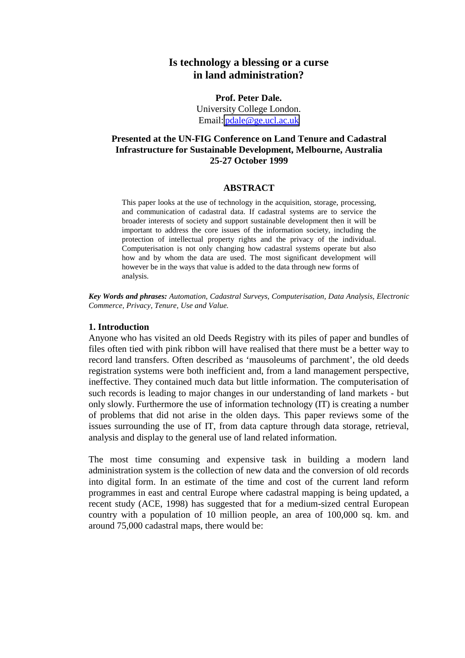# **Is technology a blessing or a curse in land administration?**

**Prof. Peter Dale.** University College London. Email: [pdale@ge.ucl.ac.uk](mailto:pdale@ge.ucl.ac.uk)

## **Presented at the UN-FIG Conference on Land Tenure and Cadastral Infrastructure for Sustainable Development, Melbourne, Australia 25-27 October 1999**

#### **ABSTRACT**

This paper looks at the use of technology in the acquisition, storage, processing, and communication of cadastral data. If cadastral systems are to service the broader interests of society and support sustainable development then it will be important to address the core issues of the information society, including the protection of intellectual property rights and the privacy of the individual. Computerisation is not only changing how cadastral systems operate but also how and by whom the data are used. The most significant development will however be in the ways that value is added to the data through new forms of analysis.

*Key Words and phrases: Automation, Cadastral Surveys, Computerisation, Data Analysis, Electronic Commerce, Privacy, Tenure, Use and Value.*

#### **1. Introduction**

Anyone who has visited an old Deeds Registry with its piles of paper and bundles of files often tied with pink ribbon will have realised that there must be a better way to record land transfers. Often described as 'mausoleums of parchment', the old deeds registration systems were both inefficient and, from a land management perspective, ineffective. They contained much data but little information. The computerisation of such records is leading to major changes in our understanding of land markets - but only slowly. Furthermore the use of information technology (IT) is creating a number of problems that did not arise in the olden days. This paper reviews some of the issues surrounding the use of IT, from data capture through data storage, retrieval, analysis and display to the general use of land related information.

The most time consuming and expensive task in building a modern land administration system is the collection of new data and the conversion of old records into digital form. In an estimate of the time and cost of the current land reform programmes in east and central Europe where cadastral mapping is being updated, a recent study (ACE, 1998) has suggested that for a medium-sized central European country with a population of 10 million people, an area of 100,000 sq. km. and around 75,000 cadastral maps, there would be: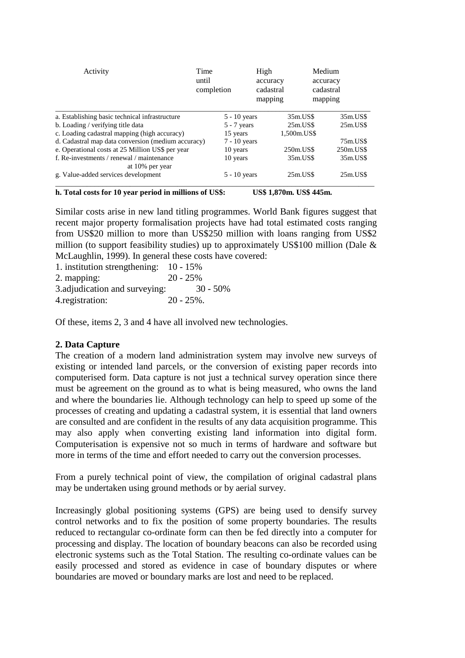| Activity                                                     | Time<br>until<br>completion | High<br>accuracy<br>cadastral<br>mapping |             | Medium<br>accuracy<br>cadastral<br>mapping |
|--------------------------------------------------------------|-----------------------------|------------------------------------------|-------------|--------------------------------------------|
| a. Establishing basic technical infrastructure               |                             | $5 - 10$ years                           | 35m.US\$    | 35m.US\$                                   |
| b. Loading / verifying title data                            |                             | $5 - 7$ years                            | $25m$ .US\$ | $25m$ .US\$                                |
| c. Loading cadastral mapping (high accuracy)                 | 15 years                    |                                          | 1,500m.US\$ |                                            |
| d. Cadastral map data conversion (medium accuracy)           |                             | $7 - 10$ years                           |             | 75m.US\$                                   |
| e. Operational costs at 25 Million US\$ per year             | 10 years                    |                                          | 250m.US\$   | 250m.US\$                                  |
| f. Re-investments / renewal / maintenance<br>at 10% per year | 10 years                    |                                          | 35m.US\$    | 35m.US\$                                   |
| g. Value-added services development                          |                             | $5 - 10$ years                           | $25m$ .US\$ | $25m$ .US\$                                |

**h. Total costs for 10 year period in millions of US\$: US\$ 1,870m. US\$ 445m.**

Similar costs arise in new land titling programmes. World Bank figures suggest that recent major property formalisation projects have had total estimated costs ranging from US\$20 million to more than US\$250 million with loans ranging from US\$2 million (to support feasibility studies) up to approximately US\$100 million (Dale & McLaughlin, 1999). In general these costs have covered:

| 1. institution strengthening: $10 - 15\%$ |               |
|-------------------------------------------|---------------|
| 2. mapping:                               | $20 - 25%$    |
| 3. adjudication and surveying:            | $30 - 50\%$   |
| 4. registration:                          | $20 - 25\%$ . |

Of these, items 2, 3 and 4 have all involved new technologies.

## **2. Data Capture**

The creation of a modern land administration system may involve new surveys of existing or intended land parcels, or the conversion of existing paper records into computerised form. Data capture is not just a technical survey operation since there must be agreement on the ground as to what is being measured, who owns the land and where the boundaries lie. Although technology can help to speed up some of the processes of creating and updating a cadastral system, it is essential that land owners are consulted and are confident in the results of any data acquisition programme. This may also apply when converting existing land information into digital form. Computerisation is expensive not so much in terms of hardware and software but more in terms of the time and effort needed to carry out the conversion processes.

From a purely technical point of view, the compilation of original cadastral plans may be undertaken using ground methods or by aerial survey.

Increasingly global positioning systems (GPS) are being used to densify survey control networks and to fix the position of some property boundaries. The results reduced to rectangular co-ordinate form can then be fed directly into a computer for processing and display. The location of boundary beacons can also be recorded using electronic systems such as the Total Station. The resulting co-ordinate values can be easily processed and stored as evidence in case of boundary disputes or where boundaries are moved or boundary marks are lost and need to be replaced.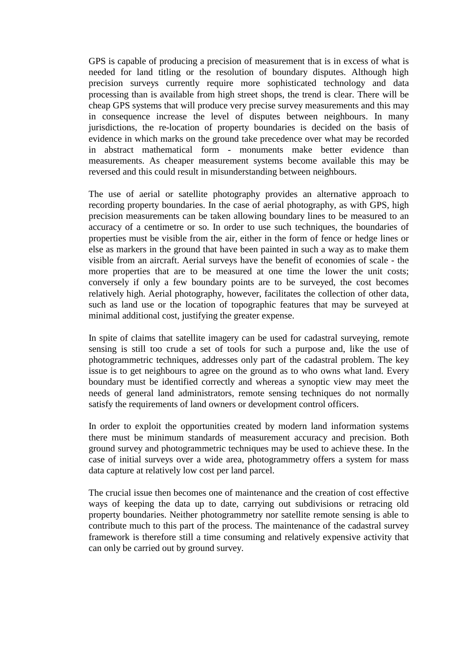GPS is capable of producing a precision of measurement that is in excess of what is needed for land titling or the resolution of boundary disputes. Although high precision surveys currently require more sophisticated technology and data processing than is available from high street shops, the trend is clear. There will be cheap GPS systems that will produce very precise survey measurements and this may in consequence increase the level of disputes between neighbours. In many jurisdictions, the re-location of property boundaries is decided on the basis of evidence in which marks on the ground take precedence over what may be recorded in abstract mathematical form - monuments make better evidence than measurements. As cheaper measurement systems become available this may be reversed and this could result in misunderstanding between neighbours.

The use of aerial or satellite photography provides an alternative approach to recording property boundaries. In the case of aerial photography, as with GPS, high precision measurements can be taken allowing boundary lines to be measured to an accuracy of a centimetre or so. In order to use such techniques, the boundaries of properties must be visible from the air, either in the form of fence or hedge lines or else as markers in the ground that have been painted in such a way as to make them visible from an aircraft. Aerial surveys have the benefit of economies of scale - the more properties that are to be measured at one time the lower the unit costs; conversely if only a few boundary points are to be surveyed, the cost becomes relatively high. Aerial photography, however, facilitates the collection of other data, such as land use or the location of topographic features that may be surveyed at minimal additional cost, justifying the greater expense.

In spite of claims that satellite imagery can be used for cadastral surveying, remote sensing is still too crude a set of tools for such a purpose and, like the use of photogrammetric techniques, addresses only part of the cadastral problem. The key issue is to get neighbours to agree on the ground as to who owns what land. Every boundary must be identified correctly and whereas a synoptic view may meet the needs of general land administrators, remote sensing techniques do not normally satisfy the requirements of land owners or development control officers.

In order to exploit the opportunities created by modern land information systems there must be minimum standards of measurement accuracy and precision. Both ground survey and photogrammetric techniques may be used to achieve these. In the case of initial surveys over a wide area, photogrammetry offers a system for mass data capture at relatively low cost per land parcel.

The crucial issue then becomes one of maintenance and the creation of cost effective ways of keeping the data up to date, carrying out subdivisions or retracing old property boundaries. Neither photogrammetry nor satellite remote sensing is able to contribute much to this part of the process. The maintenance of the cadastral survey framework is therefore still a time consuming and relatively expensive activity that can only be carried out by ground survey.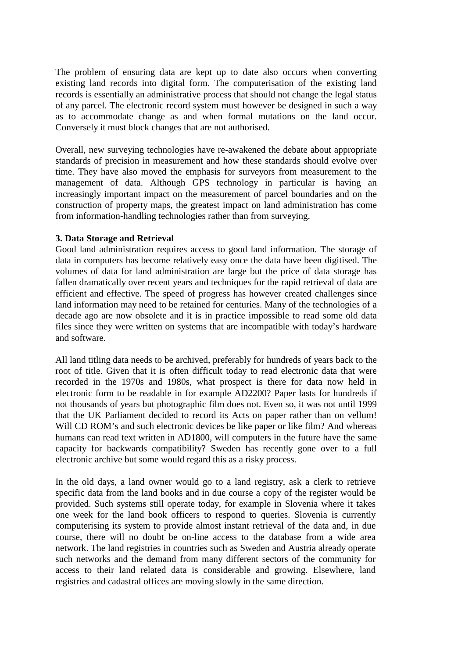The problem of ensuring data are kept up to date also occurs when converting existing land records into digital form. The computerisation of the existing land records is essentially an administrative process that should not change the legal status of any parcel. The electronic record system must however be designed in such a way as to accommodate change as and when formal mutations on the land occur. Conversely it must block changes that are not authorised.

Overall, new surveying technologies have re-awakened the debate about appropriate standards of precision in measurement and how these standards should evolve over time. They have also moved the emphasis for surveyors from measurement to the management of data. Although GPS technology in particular is having an increasingly important impact on the measurement of parcel boundaries and on the construction of property maps, the greatest impact on land administration has come from information-handling technologies rather than from surveying.

## **3. Data Storage and Retrieval**

Good land administration requires access to good land information. The storage of data in computers has become relatively easy once the data have been digitised. The volumes of data for land administration are large but the price of data storage has fallen dramatically over recent years and techniques for the rapid retrieval of data are efficient and effective. The speed of progress has however created challenges since land information may need to be retained for centuries. Many of the technologies of a decade ago are now obsolete and it is in practice impossible to read some old data files since they were written on systems that are incompatible with today's hardware and software.

All land titling data needs to be archived, preferably for hundreds of years back to the root of title. Given that it is often difficult today to read electronic data that were recorded in the 1970s and 1980s, what prospect is there for data now held in electronic form to be readable in for example AD2200? Paper lasts for hundreds if not thousands of years but photographic film does not. Even so, it was not until 1999 that the UK Parliament decided to record its Acts on paper rather than on vellum! Will CD ROM's and such electronic devices be like paper or like film? And whereas humans can read text written in AD1800, will computers in the future have the same capacity for backwards compatibility? Sweden has recently gone over to a full electronic archive but some would regard this as a risky process.

In the old days, a land owner would go to a land registry, ask a clerk to retrieve specific data from the land books and in due course a copy of the register would be provided. Such systems still operate today, for example in Slovenia where it takes one week for the land book officers to respond to queries. Slovenia is currently computerising its system to provide almost instant retrieval of the data and, in due course, there will no doubt be on-line access to the database from a wide area network. The land registries in countries such as Sweden and Austria already operate such networks and the demand from many different sectors of the community for access to their land related data is considerable and growing. Elsewhere, land registries and cadastral offices are moving slowly in the same direction.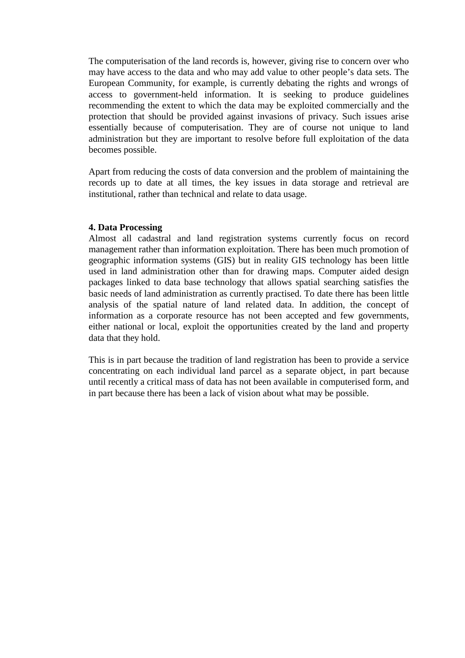The computerisation of the land records is, however, giving rise to concern over who may have access to the data and who may add value to other people's data sets. The European Community, for example, is currently debating the rights and wrongs of access to government-held information. It is seeking to produce guidelines recommending the extent to which the data may be exploited commercially and the protection that should be provided against invasions of privacy. Such issues arise essentially because of computerisation. They are of course not unique to land administration but they are important to resolve before full exploitation of the data becomes possible.

Apart from reducing the costs of data conversion and the problem of maintaining the records up to date at all times, the key issues in data storage and retrieval are institutional, rather than technical and relate to data usage.

## **4. Data Processing**

Almost all cadastral and land registration systems currently focus on record management rather than information exploitation. There has been much promotion of geographic information systems (GIS) but in reality GIS technology has been little used in land administration other than for drawing maps. Computer aided design packages linked to data base technology that allows spatial searching satisfies the basic needs of land administration as currently practised. To date there has been little analysis of the spatial nature of land related data. In addition, the concept of information as a corporate resource has not been accepted and few governments, either national or local, exploit the opportunities created by the land and property data that they hold.

This is in part because the tradition of land registration has been to provide a service concentrating on each individual land parcel as a separate object, in part because until recently a critical mass of data has not been available in computerised form, and in part because there has been a lack of vision about what may be possible.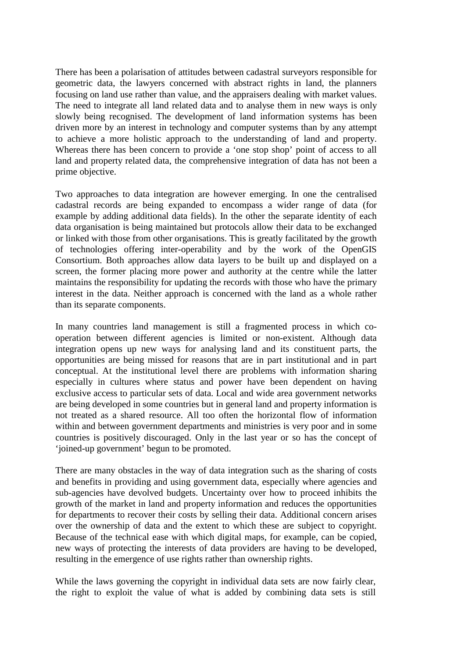There has been a polarisation of attitudes between cadastral surveyors responsible for geometric data, the lawyers concerned with abstract rights in land, the planners focusing on land use rather than value, and the appraisers dealing with market values. The need to integrate all land related data and to analyse them in new ways is only slowly being recognised. The development of land information systems has been driven more by an interest in technology and computer systems than by any attempt to achieve a more holistic approach to the understanding of land and property. Whereas there has been concern to provide a 'one stop shop' point of access to all land and property related data, the comprehensive integration of data has not been a prime objective.

Two approaches to data integration are however emerging. In one the centralised cadastral records are being expanded to encompass a wider range of data (for example by adding additional data fields). In the other the separate identity of each data organisation is being maintained but protocols allow their data to be exchanged or linked with those from other organisations. This is greatly facilitated by the growth of technologies offering inter-operability and by the work of the OpenGIS Consortium. Both approaches allow data layers to be built up and displayed on a screen, the former placing more power and authority at the centre while the latter maintains the responsibility for updating the records with those who have the primary interest in the data. Neither approach is concerned with the land as a whole rather than its separate components.

In many countries land management is still a fragmented process in which cooperation between different agencies is limited or non-existent. Although data integration opens up new ways for analysing land and its constituent parts, the opportunities are being missed for reasons that are in part institutional and in part conceptual. At the institutional level there are problems with information sharing especially in cultures where status and power have been dependent on having exclusive access to particular sets of data. Local and wide area government networks are being developed in some countries but in general land and property information is not treated as a shared resource. All too often the horizontal flow of information within and between government departments and ministries is very poor and in some countries is positively discouraged. Only in the last year or so has the concept of 'joined-up government' begun to be promoted.

There are many obstacles in the way of data integration such as the sharing of costs and benefits in providing and using government data, especially where agencies and sub-agencies have devolved budgets. Uncertainty over how to proceed inhibits the growth of the market in land and property information and reduces the opportunities for departments to recover their costs by selling their data. Additional concern arises over the ownership of data and the extent to which these are subject to copyright. Because of the technical ease with which digital maps, for example, can be copied, new ways of protecting the interests of data providers are having to be developed, resulting in the emergence of use rights rather than ownership rights.

While the laws governing the copyright in individual data sets are now fairly clear, the right to exploit the value of what is added by combining data sets is still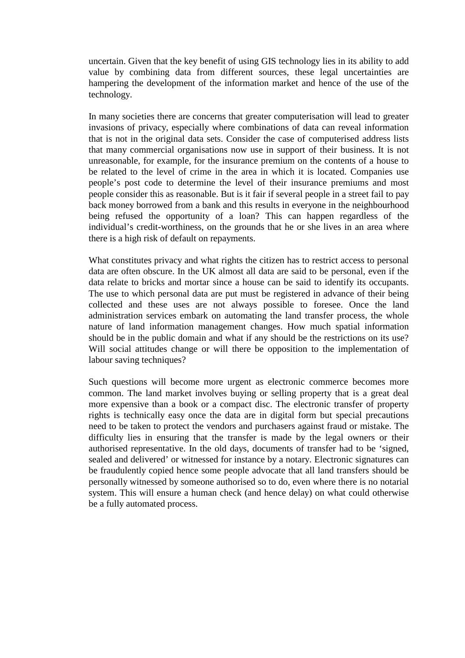uncertain. Given that the key benefit of using GIS technology lies in its ability to add value by combining data from different sources, these legal uncertainties are hampering the development of the information market and hence of the use of the technology.

In many societies there are concerns that greater computerisation will lead to greater invasions of privacy, especially where combinations of data can reveal information that is not in the original data sets. Consider the case of computerised address lists that many commercial organisations now use in support of their business. It is not unreasonable, for example, for the insurance premium on the contents of a house to be related to the level of crime in the area in which it is located. Companies use people's post code to determine the level of their insurance premiums and most people consider this as reasonable. But is it fair if several people in a street fail to pay back money borrowed from a bank and this results in everyone in the neighbourhood being refused the opportunity of a loan? This can happen regardless of the individual's credit-worthiness, on the grounds that he or she lives in an area where there is a high risk of default on repayments.

What constitutes privacy and what rights the citizen has to restrict access to personal data are often obscure. In the UK almost all data are said to be personal, even if the data relate to bricks and mortar since a house can be said to identify its occupants. The use to which personal data are put must be registered in advance of their being collected and these uses are not always possible to foresee. Once the land administration services embark on automating the land transfer process, the whole nature of land information management changes. How much spatial information should be in the public domain and what if any should be the restrictions on its use? Will social attitudes change or will there be opposition to the implementation of labour saving techniques?

Such questions will become more urgent as electronic commerce becomes more common. The land market involves buying or selling property that is a great deal more expensive than a book or a compact disc. The electronic transfer of property rights is technically easy once the data are in digital form but special precautions need to be taken to protect the vendors and purchasers against fraud or mistake. The difficulty lies in ensuring that the transfer is made by the legal owners or their authorised representative. In the old days, documents of transfer had to be 'signed, sealed and delivered' or witnessed for instance by a notary. Electronic signatures can be fraudulently copied hence some people advocate that all land transfers should be personally witnessed by someone authorised so to do, even where there is no notarial system. This will ensure a human check (and hence delay) on what could otherwise be a fully automated process.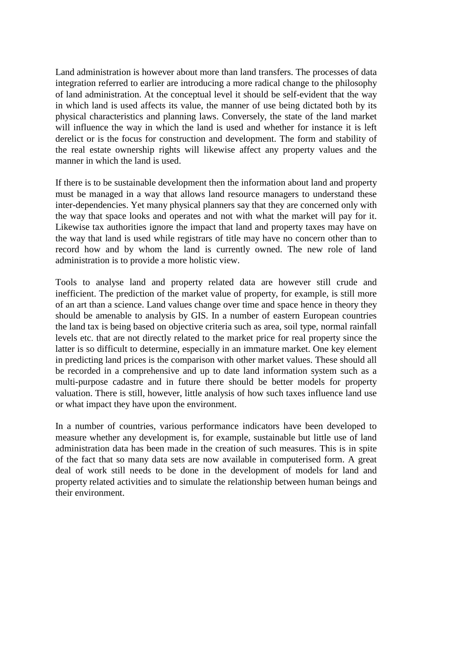Land administration is however about more than land transfers. The processes of data integration referred to earlier are introducing a more radical change to the philosophy of land administration. At the conceptual level it should be self-evident that the way in which land is used affects its value, the manner of use being dictated both by its physical characteristics and planning laws. Conversely, the state of the land market will influence the way in which the land is used and whether for instance it is left derelict or is the focus for construction and development. The form and stability of the real estate ownership rights will likewise affect any property values and the manner in which the land is used.

If there is to be sustainable development then the information about land and property must be managed in a way that allows land resource managers to understand these inter-dependencies. Yet many physical planners say that they are concerned only with the way that space looks and operates and not with what the market will pay for it. Likewise tax authorities ignore the impact that land and property taxes may have on the way that land is used while registrars of title may have no concern other than to record how and by whom the land is currently owned. The new role of land administration is to provide a more holistic view.

Tools to analyse land and property related data are however still crude and inefficient. The prediction of the market value of property, for example, is still more of an art than a science. Land values change over time and space hence in theory they should be amenable to analysis by GIS. In a number of eastern European countries the land tax is being based on objective criteria such as area, soil type, normal rainfall levels etc. that are not directly related to the market price for real property since the latter is so difficult to determine, especially in an immature market. One key element in predicting land prices is the comparison with other market values. These should all be recorded in a comprehensive and up to date land information system such as a multi-purpose cadastre and in future there should be better models for property valuation. There is still, however, little analysis of how such taxes influence land use or what impact they have upon the environment.

In a number of countries, various performance indicators have been developed to measure whether any development is, for example, sustainable but little use of land administration data has been made in the creation of such measures. This is in spite of the fact that so many data sets are now available in computerised form. A great deal of work still needs to be done in the development of models for land and property related activities and to simulate the relationship between human beings and their environment.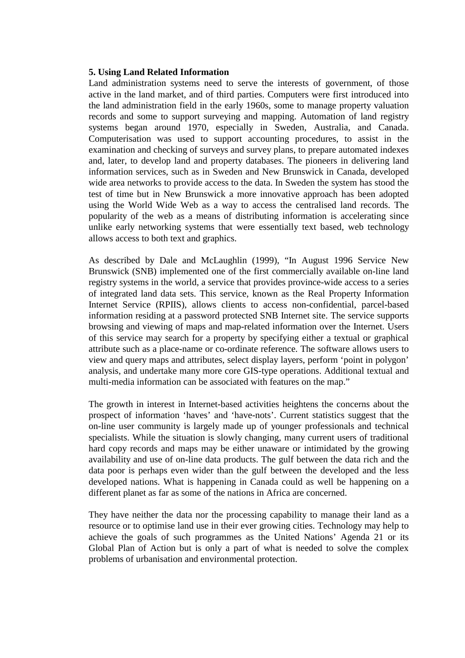### **5. Using Land Related Information**

Land administration systems need to serve the interests of government, of those active in the land market, and of third parties. Computers were first introduced into the land administration field in the early 1960s, some to manage property valuation records and some to support surveying and mapping. Automation of land registry systems began around 1970, especially in Sweden, Australia, and Canada. Computerisation was used to support accounting procedures, to assist in the examination and checking of surveys and survey plans, to prepare automated indexes and, later, to develop land and property databases. The pioneers in delivering land information services, such as in Sweden and New Brunswick in Canada, developed wide area networks to provide access to the data. In Sweden the system has stood the test of time but in New Brunswick a more innovative approach has been adopted using the World Wide Web as a way to access the centralised land records. The popularity of the web as a means of distributing information is accelerating since unlike early networking systems that were essentially text based, web technology allows access to both text and graphics.

As described by Dale and McLaughlin (1999), "In August 1996 Service New Brunswick (SNB) implemented one of the first commercially available on-line land registry systems in the world, a service that provides province-wide access to a series of integrated land data sets. This service, known as the Real Property Information Internet Service (RPIIS), allows clients to access non-confidential, parcel-based information residing at a password protected SNB Internet site. The service supports browsing and viewing of maps and map-related information over the Internet. Users of this service may search for a property by specifying either a textual or graphical attribute such as a place-name or co-ordinate reference. The software allows users to view and query maps and attributes, select display layers, perform 'point in polygon' analysis, and undertake many more core GIS-type operations. Additional textual and multi-media information can be associated with features on the map."

The growth in interest in Internet-based activities heightens the concerns about the prospect of information 'haves' and 'have-nots'. Current statistics suggest that the on-line user community is largely made up of younger professionals and technical specialists. While the situation is slowly changing, many current users of traditional hard copy records and maps may be either unaware or intimidated by the growing availability and use of on-line data products. The gulf between the data rich and the data poor is perhaps even wider than the gulf between the developed and the less developed nations. What is happening in Canada could as well be happening on a different planet as far as some of the nations in Africa are concerned.

They have neither the data nor the processing capability to manage their land as a resource or to optimise land use in their ever growing cities. Technology may help to achieve the goals of such programmes as the United Nations' Agenda 21 or its Global Plan of Action but is only a part of what is needed to solve the complex problems of urbanisation and environmental protection.